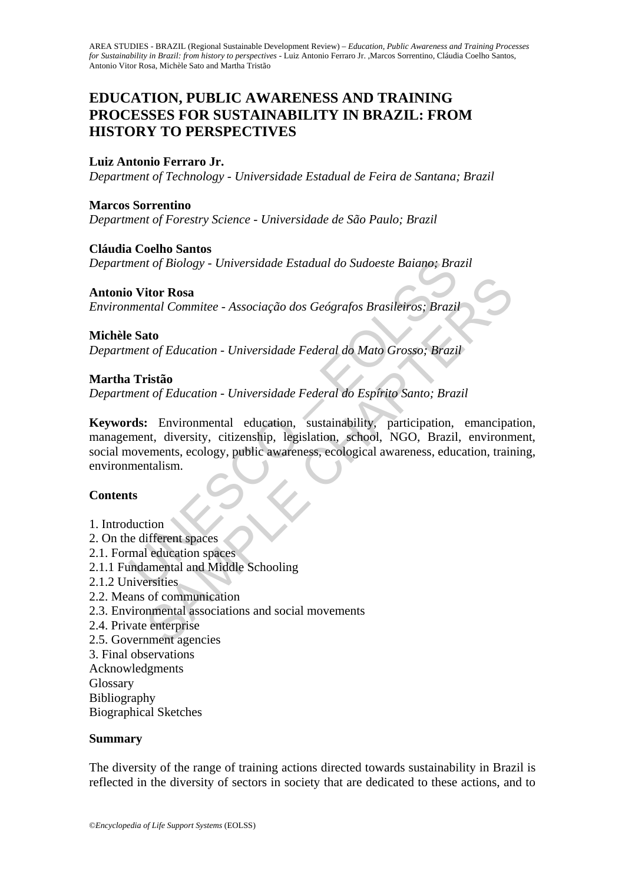# **EDUCATION, PUBLIC AWARENESS AND TRAINING PROCESSES FOR SUSTAINABILITY IN BRAZIL: FROM HISTORY TO PERSPECTIVES**

## **Luiz Antonio Ferraro Jr.**

*Department of Technology - Universidade Estadual de Feira de Santana; Brazil* 

#### **Marcos Sorrentino**

*Department of Forestry Science - Universidade de São Paulo; Brazil* 

#### **Cláudia Coelho Santos**

*Department of Biology - Universidade Estadual do Sudoeste Baiano; Brazil* 

#### **Antonio Vitor Rosa**

*Environmental Commitee - Associação dos Geógrafos Brasileiros; Brazil* 

#### **Michèle Sato**

*Department of Education - Universidade Federal do Mato Grosso; Brazil* 

#### **Martha Tristão**

*Department of Education - Universidade Federal do Espírito Santo; Brazil* 

nent of Biology - Universidade Estadual do Sudoeste Baiano; Bra<br> **o Vitor Rosa**<br> **o Vitor Rosa**<br> **e Sato**<br>
e **Sato**<br>
e Sato<br>
e Sato<br>
e Sato<br>
ment of Education - Universidade Federal do Mato Grosso; Brazi,<br> **n**<br> **n**<br> **ristã itor Rosa**<br>
Intal Commitee - Associação dos Geógrafos Brasileiros; Brazil<br> **ato**<br>
Into f Education - Universidade Federal do Mato Grosso; Brazil<br> **ativa de f** Education - Universidade Federal do Espírito Santo; Brazil<br> **a Keywords:** Environmental education, sustainability, participation, emancipation, management, diversity, citizenship, legislation, school, NGO, Brazil, environment, social movements, ecology, public awareness, ecological awareness, education, training, environmentalism.

### **Contents**

- 1. Introduction
- 2. On the different spaces
- 2.1. Formal education spaces
- 2.1.1 Fundamental and Middle Schooling
- 2.1.2 Universities
- 2.2. Means of communication
- 2.3. Environmental associations and social movements
- 2.4. Private enterprise
- 2.5. Government agencies
- 3. Final observations
- Acknowledgments
- Glossary
- Bibliography

Biographical Sketches

#### **Summary**

The diversity of the range of training actions directed towards sustainability in Brazil is reflected in the diversity of sectors in society that are dedicated to these actions, and to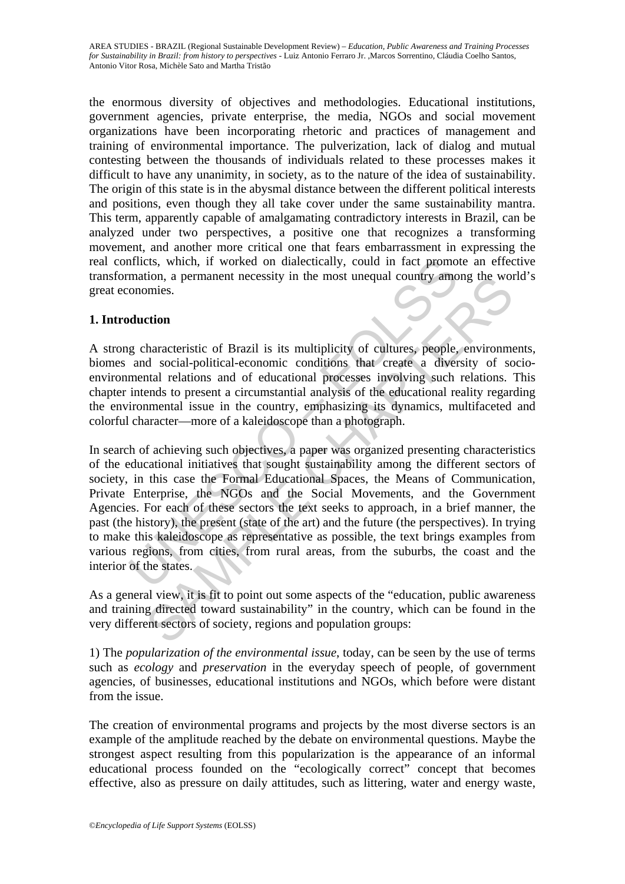the enormous diversity of objectives and methodologies. Educational institutions, government agencies, private enterprise, the media, NGOs and social movement organizations have been incorporating rhetoric and practices of management and training of environmental importance. The pulverization, lack of dialog and mutual contesting between the thousands of individuals related to these processes makes it difficult to have any unanimity, in society, as to the nature of the idea of sustainability. The origin of this state is in the abysmal distance between the different political interests and positions, even though they all take cover under the same sustainability mantra. This term, apparently capable of amalgamating contradictory interests in Brazil, can be analyzed under two perspectives, a positive one that recognizes a transforming movement, and another more critical one that fears embarrassment in expressing the real conflicts, which, if worked on dialectically, could in fact promote an effective transformation, a permanent necessity in the most unequal country among the world's great economies.

## **1. Introduction**

A strong characteristic of Brazil is its multiplicity of cultures, people, environments, biomes and social-political-economic conditions that create a diversity of socioenvironmental relations and of educational processes involving such relations. This chapter intends to present a circumstantial analysis of the educational reality regarding the environmental issue in the country, emphasizing its dynamics, multifaceted and colorful character—more of a kaleidoscope than a photograph.

mation, a permanent necessity in the most unequal country amomation, a permanent necessity in the most unequal country amomomies.<br> **Auction**<br>
g characteristic of Brazil is its multiplicity of cultures, people,<br>
and socialtion, a permanent necessity in the most unequal country among the womiss.<br>
comiss.<br>
comiss.<br>
comiss.<br>
comiss.<br>
comiss and of educational processes involving such relations.<br>
In relations and of educational processes involv In search of achieving such objectives, a paper was organized presenting characteristics of the educational initiatives that sought sustainability among the different sectors of society, in this case the Formal Educational Spaces, the Means of Communication, Private Enterprise, the NGOs and the Social Movements, and the Government Agencies. For each of these sectors the text seeks to approach, in a brief manner, the past (the history), the present (state of the art) and the future (the perspectives). In trying to make this kaleidoscope as representative as possible, the text brings examples from various regions, from cities, from rural areas, from the suburbs, the coast and the interior of the states.

As a general view, it is fit to point out some aspects of the "education, public awareness and training directed toward sustainability" in the country, which can be found in the very different sectors of society, regions and population groups:

1) The *popularization of the environmental issue*, today, can be seen by the use of terms such as *ecology* and *preservation* in the everyday speech of people, of government agencies, of businesses, educational institutions and NGOs, which before were distant from the issue.

The creation of environmental programs and projects by the most diverse sectors is an example of the amplitude reached by the debate on environmental questions. Maybe the strongest aspect resulting from this popularization is the appearance of an informal educational process founded on the "ecologically correct" concept that becomes effective, also as pressure on daily attitudes, such as littering, water and energy waste,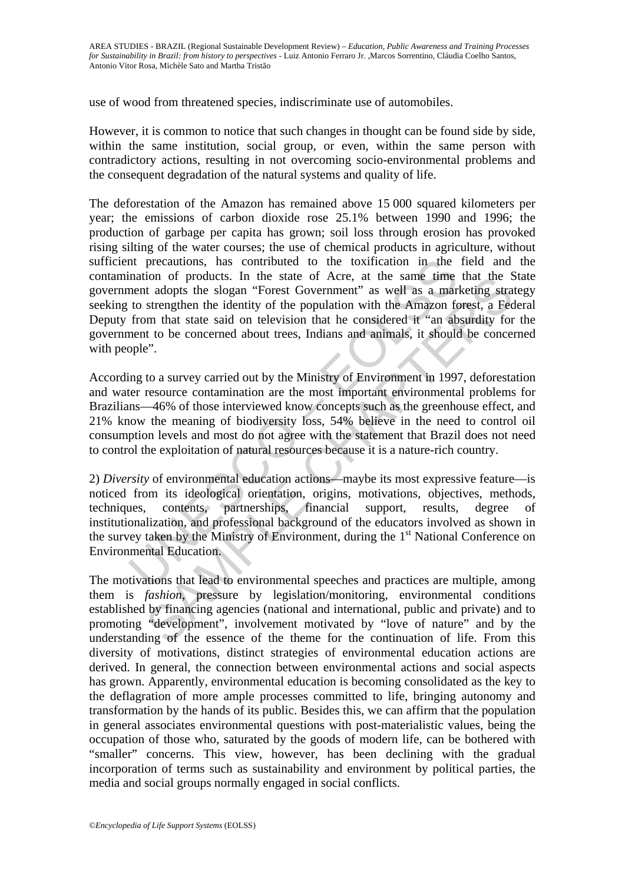use of wood from threatened species, indiscriminate use of automobiles.

However, it is common to notice that such changes in thought can be found side by side, within the same institution, social group, or even, within the same person with contradictory actions, resulting in not overcoming socio-environmental problems and the consequent degradation of the natural systems and quality of life.

Interactions, has contributed to the toxification in the mation of products. In the state of Acre, at the same time ment adopts the slogan "Forest Government" as well as a mar to to strengthen the identity of the populatio The deforestation of the Amazon has remained above 15 000 squared kilometers per year; the emissions of carbon dioxide rose 25.1% between 1990 and 1996; the production of garbage per capita has grown; soil loss through erosion has provoked rising silting of the water courses; the use of chemical products in agriculture, without sufficient precautions, has contributed to the toxification in the field and the contamination of products. In the state of Acre, at the same time that the State government adopts the slogan "Forest Government" as well as a marketing strategy seeking to strengthen the identity of the population with the Amazon forest, a Federal Deputy from that state said on television that he considered it "an absurdity for the government to be concerned about trees, Indians and animals, it should be concerned with people".

According to a survey carried out by the Ministry of Environment in 1997, deforestation and water resource contamination are the most important environmental problems for Brazilians—46% of those interviewed know concepts such as the greenhouse effect, and 21% know the meaning of biodiversity loss, 54% believe in the need to control oil consumption levels and most do not agree with the statement that Brazil does not need to control the exploitation of natural resources because it is a nature-rich country.

non or products. In the state or Acre, at the same then that he act<br>at adopts the slogan "Forest Government" as well as a marketing strangthen the identity of the population with the Amazon forest, a Fector at strengthen 2) *Diversity* of environmental education actions—maybe its most expressive feature—is noticed from its ideological orientation, origins, motivations, objectives, methods, techniques, contents, partnerships, financial support, results, degree of institutionalization, and professional background of the educators involved as shown in the survey taken by the Ministry of Environment, during the 1<sup>st</sup> National Conference on Environmental Education.

The motivations that lead to environmental speeches and practices are multiple, among them is *fashion*, pressure by legislation/monitoring, environmental conditions established by financing agencies (national and international, public and private) and to promoting "development", involvement motivated by "love of nature" and by the understanding of the essence of the theme for the continuation of life. From this diversity of motivations, distinct strategies of environmental education actions are derived. In general, the connection between environmental actions and social aspects has grown. Apparently, environmental education is becoming consolidated as the key to the deflagration of more ample processes committed to life, bringing autonomy and transformation by the hands of its public. Besides this, we can affirm that the population in general associates environmental questions with post-materialistic values, being the occupation of those who, saturated by the goods of modern life, can be bothered with "smaller" concerns. This view, however, has been declining with the gradual incorporation of terms such as sustainability and environment by political parties, the media and social groups normally engaged in social conflicts.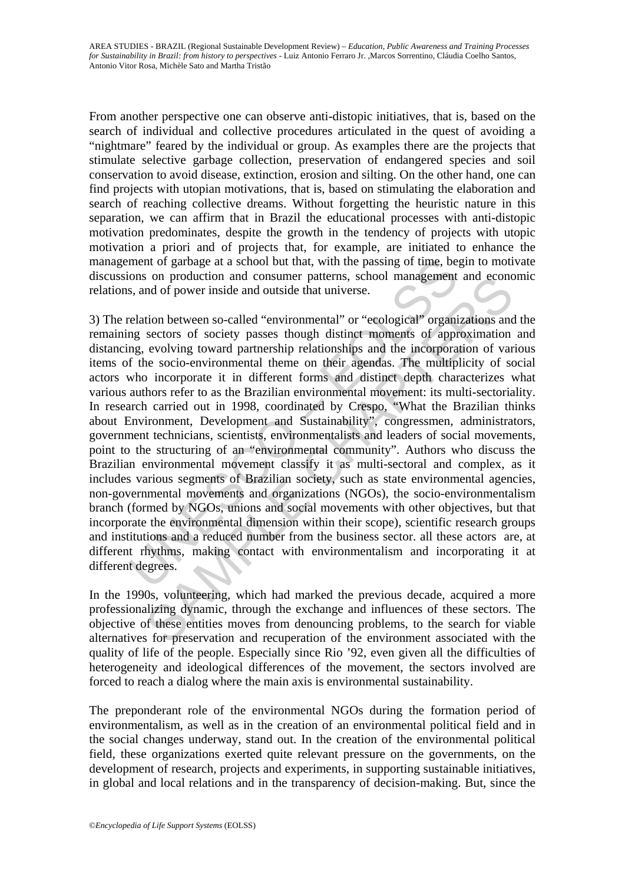From another perspective one can observe anti-distopic initiatives, that is, based on the search of individual and collective procedures articulated in the quest of avoiding a "nightmare" feared by the individual or group. As examples there are the projects that stimulate selective garbage collection, preservation of endangered species and soil conservation to avoid disease, extinction, erosion and silting. On the other hand, one can find projects with utopian motivations, that is, based on stimulating the elaboration and search of reaching collective dreams. Without forgetting the heuristic nature in this separation, we can affirm that in Brazil the educational processes with anti-distopic motivation predominates, despite the growth in the tendency of projects with utopic motivation a priori and of projects that, for example, are initiated to enhance the management of garbage at a school but that, with the passing of time, begin to motivate discussions on production and consumer patterns, school management and economic relations, and of power inside and outside that universe.

ment of garbage at a school but that, with the passing of time, be<br>ons on production and consumer patterns, school management<br>s, and of power inside and outside that universe.<br>clation between so-called "environmental" or " of production and consumer patterns, school management and econd<br>and of power inside and outside that universe.<br>tion between so-called "environmental" or "ecological" organizations and<br>ecological" prosesses though distinct 3) The relation between so-called "environmental" or "ecological" organizations and the remaining sectors of society passes though distinct moments of approximation and distancing, evolving toward partnership relationships and the incorporation of various items of the socio-environmental theme on their agendas. The multiplicity of social actors who incorporate it in different forms and distinct depth characterizes what various authors refer to as the Brazilian environmental movement: its multi-sectoriality. In research carried out in 1998, coordinated by Crespo, "What the Brazilian thinks about Environment, Development and Sustainability", congressmen, administrators, government technicians, scientists, environmentalists and leaders of social movements, point to the structuring of an "environmental community". Authors who discuss the Brazilian environmental movement classify it as multi-sectoral and complex, as it includes various segments of Brazilian society, such as state environmental agencies, non-governmental movements and organizations (NGOs), the socio-environmentalism branch (formed by NGOs, unions and social movements with other objectives, but that incorporate the environmental dimension within their scope), scientific research groups and institutions and a reduced number from the business sector. all these actors are, at different rhythms, making contact with environmentalism and incorporating it at different degrees.

In the 1990s, volunteering, which had marked the previous decade, acquired a more professionalizing dynamic, through the exchange and influences of these sectors. The objective of these entities moves from denouncing problems, to the search for viable alternatives for preservation and recuperation of the environment associated with the quality of life of the people. Especially since Rio '92, even given all the difficulties of heterogeneity and ideological differences of the movement, the sectors involved are forced to reach a dialog where the main axis is environmental sustainability.

The preponderant role of the environmental NGOs during the formation period of environmentalism, as well as in the creation of an environmental political field and in the social changes underway, stand out. In the creation of the environmental political field, these organizations exerted quite relevant pressure on the governments, on the development of research, projects and experiments, in supporting sustainable initiatives, in global and local relations and in the transparency of decision-making. But, since the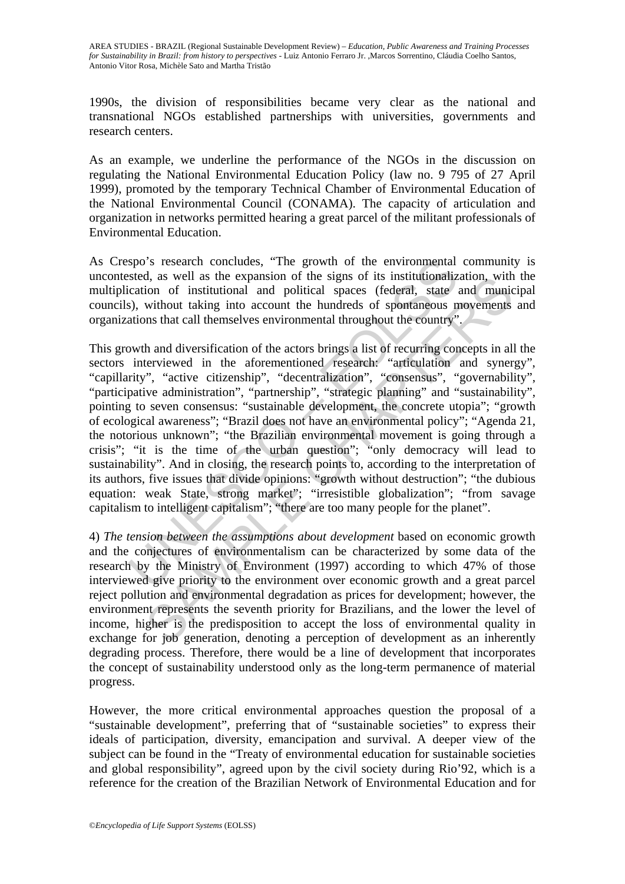1990s, the division of responsibilities became very clear as the national and transnational NGOs established partnerships with universities, governments and research centers.

As an example, we underline the performance of the NGOs in the discussion on regulating the National Environmental Education Policy (law no. 9 795 of 27 April 1999), promoted by the temporary Technical Chamber of Environmental Education of the National Environmental Council (CONAMA). The capacity of articulation and organization in networks permitted hearing a great parcel of the militant professionals of Environmental Education.

As Crespo's research concludes, "The growth of the environmental community is uncontested, as well as the expansion of the signs of its institutionalization, with the multiplication of institutional and political spaces (federal, state and municipal councils), without taking into account the hundreds of spontaneous movements and organizations that call themselves environmental throughout the country".

spo's research concludes, "The growth of the environmental<br>sted, as well as the expansion of the signs of its institutionaliz<br>cation of institutional and political spaces (federal, state<br>is), without taking into account th d, as well as the expansion of the signs of its institutionalization, with<br>ion of institutional and political spaces (federal, state and municion<br>without taking into account the hundreds of spontaneous movements<br>ins that This growth and diversification of the actors brings a list of recurring concepts in all the sectors interviewed in the aforementioned research: "articulation and synergy", "capillarity", "active citizenship", "decentralization", "consensus", "governability", "participative administration", "partnership", "strategic planning" and "sustainability", pointing to seven consensus: "sustainable development, the concrete utopia"; "growth of ecological awareness"; "Brazil does not have an environmental policy"; "Agenda 21, the notorious unknown"; "the Brazilian environmental movement is going through a crisis"; "it is the time of the urban question"; "only democracy will lead to sustainability". And in closing, the research points to, according to the interpretation of its authors, five issues that divide opinions: "growth without destruction"; "the dubious equation: weak State, strong market"; "irresistible globalization"; "from savage capitalism to intelligent capitalism"; "there are too many people for the planet".

4) *The tension between the assumptions about development* based on economic growth and the conjectures of environmentalism can be characterized by some data of the research by the Ministry of Environment (1997) according to which 47% of those interviewed give priority to the environment over economic growth and a great parcel reject pollution and environmental degradation as prices for development; however, the environment represents the seventh priority for Brazilians, and the lower the level of income, higher is the predisposition to accept the loss of environmental quality in exchange for job generation, denoting a perception of development as an inherently degrading process. Therefore, there would be a line of development that incorporates the concept of sustainability understood only as the long-term permanence of material progress.

However, the more critical environmental approaches question the proposal of a "sustainable development", preferring that of "sustainable societies" to express their ideals of participation, diversity, emancipation and survival. A deeper view of the subject can be found in the "Treaty of environmental education for sustainable societies and global responsibility", agreed upon by the civil society during Rio'92, which is a reference for the creation of the Brazilian Network of Environmental Education and for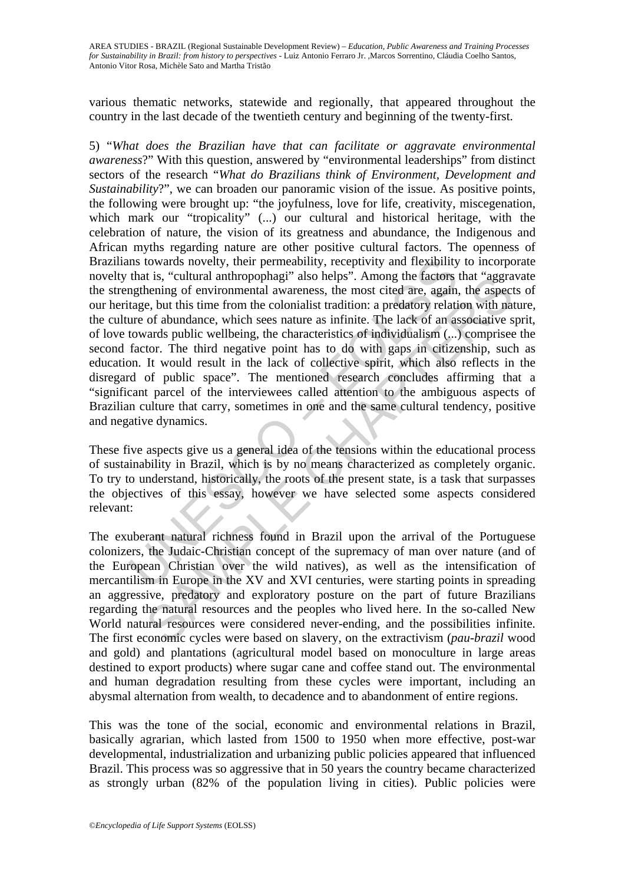various thematic networks, statewide and regionally, that appeared throughout the country in the last decade of the twentieth century and beginning of the twenty-first.

Ins towards novelty, their permeability, receptivity and flexibility<br>that is, "cultural anthropophagi" also helps". Among the factors<br>ngthening of environmental awareness, the most cited are, again,<br>tage, but this time fro It is, "cultural antimopophagi" also helps". Among the factors that "aggra<br>
e.e. but this time from the colonialist tradition: a predatory relation with na<br>
e.e. but this time from the colonialist tradition: a predatory re 5) "*What does the Brazilian have that can facilitate or aggravate environmental awareness*?" With this question, answered by "environmental leaderships" from distinct sectors of the research "*What do Brazilians think of Environment, Development and Sustainability*?", we can broaden our panoramic vision of the issue. As positive points, the following were brought up: "the joyfulness, love for life, creativity, miscegenation, which mark our "tropicality" (...) our cultural and historical heritage, with the celebration of nature, the vision of its greatness and abundance, the Indigenous and African myths regarding nature are other positive cultural factors. The openness of Brazilians towards novelty, their permeability, receptivity and flexibility to incorporate novelty that is, "cultural anthropophagi" also helps". Among the factors that "aggravate the strengthening of environmental awareness, the most cited are, again, the aspects of our heritage, but this time from the colonialist tradition: a predatory relation with nature, the culture of abundance, which sees nature as infinite. The lack of an associative sprit, of love towards public wellbeing, the characteristics of individualism (...) comprisee the second factor. The third negative point has to do with gaps in citizenship, such as education. It would result in the lack of collective spirit, which also reflects in the disregard of public space". The mentioned research concludes affirming that a "significant parcel of the interviewees called attention to the ambiguous aspects of Brazilian culture that carry, sometimes in one and the same cultural tendency, positive and negative dynamics.

These five aspects give us a general idea of the tensions within the educational process of sustainability in Brazil, which is by no means characterized as completely organic. To try to understand, historically, the roots of the present state, is a task that surpasses the objectives of this essay, however we have selected some aspects considered relevant:

The exuberant natural richness found in Brazil upon the arrival of the Portuguese colonizers, the Judaic-Christian concept of the supremacy of man over nature (and of the European Christian over the wild natives), as well as the intensification of mercantilism in Europe in the XV and XVI centuries, were starting points in spreading an aggressive, predatory and exploratory posture on the part of future Brazilians regarding the natural resources and the peoples who lived here. In the so-called New World natural resources were considered never-ending, and the possibilities infinite. The first economic cycles were based on slavery, on the extractivism (*pau-brazil* wood and gold) and plantations (agricultural model based on monoculture in large areas destined to export products) where sugar cane and coffee stand out. The environmental and human degradation resulting from these cycles were important, including an abysmal alternation from wealth, to decadence and to abandonment of entire regions.

This was the tone of the social, economic and environmental relations in Brazil, basically agrarian, which lasted from 1500 to 1950 when more effective, post-war developmental, industrialization and urbanizing public policies appeared that influenced Brazil. This process was so aggressive that in 50 years the country became characterized as strongly urban (82% of the population living in cities). Public policies were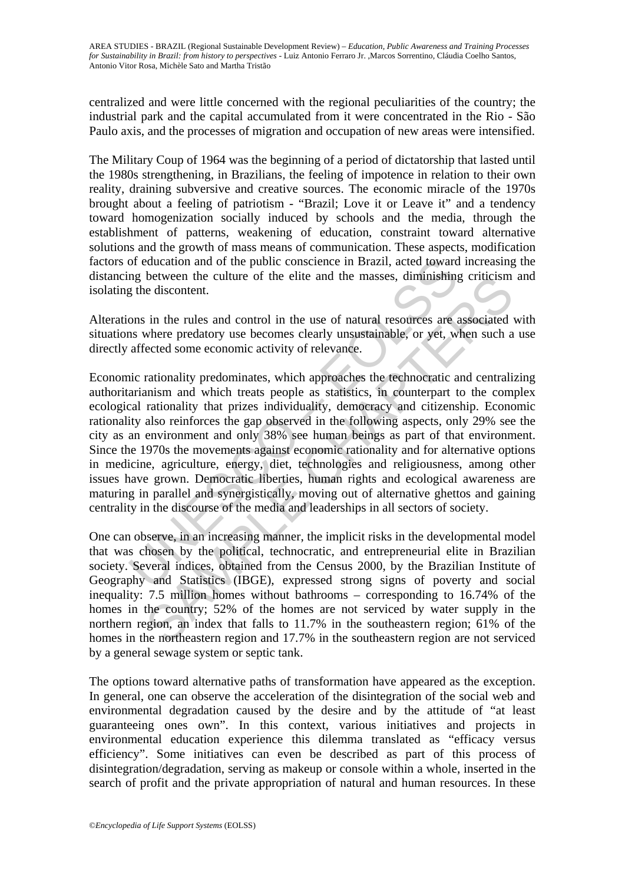centralized and were little concerned with the regional peculiarities of the country; the industrial park and the capital accumulated from it were concentrated in the Rio - São Paulo axis, and the processes of migration and occupation of new areas were intensified.

The Military Coup of 1964 was the beginning of a period of dictatorship that lasted until the 1980s strengthening, in Brazilians, the feeling of impotence in relation to their own reality, draining subversive and creative sources. The economic miracle of the 1970s brought about a feeling of patriotism - "Brazil; Love it or Leave it" and a tendency toward homogenization socially induced by schools and the media, through the establishment of patterns, weakening of education, constraint toward alternative solutions and the growth of mass means of communication. These aspects, modification factors of education and of the public conscience in Brazil, acted toward increasing the distancing between the culture of the elite and the masses, diminishing criticism and isolating the discontent.

Alterations in the rules and control in the use of natural resources are associated with situations where predatory use becomes clearly unsustainable, or yet, when such a use directly affected some economic activity of relevance.

of education and of the public conscience in Brazil, acted toward<br>and between the culture of the elite and the masses, diminishing<br>g the discontent.<br>ons in the rules and control in the use of natural resources are<br>as where between the culture of the elite and the masses, dimmisfing criticism<br>e discontent.<br>where predatory use becomes clearly unsustainable, or yet, when such a<br>where predatory use becomes clearly unsustainable, or yet, when suc Economic rationality predominates, which approaches the technocratic and centralizing authoritarianism and which treats people as statistics, in counterpart to the complex ecological rationality that prizes individuality, democracy and citizenship. Economic rationality also reinforces the gap observed in the following aspects, only 29% see the city as an environment and only 38% see human beings as part of that environment. Since the 1970s the movements against economic rationality and for alternative options in medicine, agriculture, energy, diet, technologies and religiousness, among other issues have grown. Democratic liberties, human rights and ecological awareness are maturing in parallel and synergistically, moving out of alternative ghettos and gaining centrality in the discourse of the media and leaderships in all sectors of society.

One can observe, in an increasing manner, the implicit risks in the developmental model that was chosen by the political, technocratic, and entrepreneurial elite in Brazilian society. Several indices, obtained from the Census 2000, by the Brazilian Institute of Geography and Statistics (IBGE), expressed strong signs of poverty and social inequality: 7.5 million homes without bathrooms – corresponding to 16.74% of the homes in the country; 52% of the homes are not serviced by water supply in the northern region, an index that falls to 11.7% in the southeastern region; 61% of the homes in the northeastern region and 17.7% in the southeastern region are not serviced by a general sewage system or septic tank.

The options toward alternative paths of transformation have appeared as the exception. In general, one can observe the acceleration of the disintegration of the social web and environmental degradation caused by the desire and by the attitude of "at least guaranteeing ones own". In this context, various initiatives and projects in environmental education experience this dilemma translated as "efficacy versus efficiency". Some initiatives can even be described as part of this process of disintegration/degradation, serving as makeup or console within a whole, inserted in the search of profit and the private appropriation of natural and human resources. In these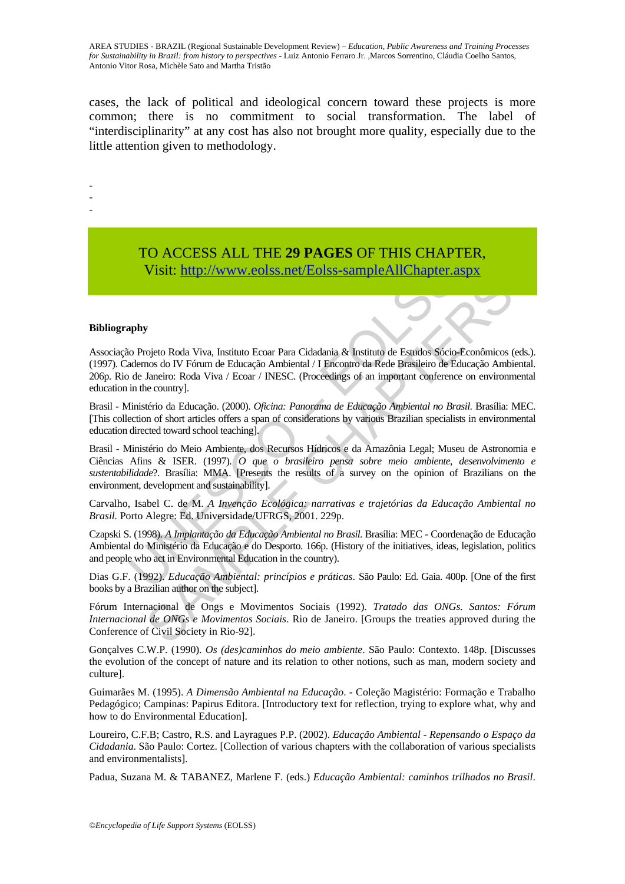cases, the lack of political and ideological concern toward these projects is more common; there is no commitment to social transformation. The label of "interdisciplinarity" at any cost has also not brought more quality, especially due to the little attention given to methodology.

- -

-

TO ACCESS ALL THE **29 PAGES** OF THIS CHAPTER, Visit: http://www.eolss.net/Eolss-sampleAllChapter.aspx

#### **Bibliography**

Visit:  $\frac{1}{2}$  – Wiscomber 2013. The Visitem Constrainer and Schemetrical Education in the country).<br>
Unitative Cost is a strainer to the Schemetrical Chapter and the James of DV Fórum de Educação Ambiental / I Encontro **Estado de Seculo Franceso de Seculos Francesos** (1992). *Francesos Georgia* de Mickolas (1992). *Edeonios de CAC Micharma Cidadania & Instituto de Estados Socio-Econômicos* (nos do IV Fórum de Educação Ambiental / I Broo Associação Projeto Roda Viva, Instituto Ecoar Para Cidadania & Instituto de Estudos Sócio-Econômicos (eds.). (1997). Cadernos do IV Fórum de Educação Ambiental / I Encontro da Rede Brasileiro de Educação Ambiental. 206p. Rio de Janeiro: Roda Viva / Ecoar / INESC. (Proceedings of an important conference on environmental education in the country].

Brasil - Ministério da Educação. (2000). *Oficina: Panorama de Educação Ambiental no Brasil*. Brasília: MEC. [This collection of short articles offers a span of considerations by various Brazilian specialists in environmental education directed toward school teaching].

Brasil - Ministério do Meio Ambiente, dos Recursos Hídricos e da Amazônia Legal; Museu de Astronomia e Ciências Afins & ISER. (1997). *O que o brasileiro pensa sobre meio ambiente, desenvolvimento e sustentabilidade*?. Brasília: MMA. [Presents the results of a survey on the opinion of Brazilians on the environment, development and sustainability].

Carvalho, Isabel C. de M. *A Invenção Ecológica: narrativas e trajetórias da Educação Ambiental no Brasil.* Porto Alegre: Ed. Universidade/UFRGS, 2001. 229p.

Czapski S. (1998). *A Implantação da Educação Ambiental no Brasil*. Brasília: MEC - Coordenação de Educação Ambiental do Ministério da Educação e do Desporto. 166p. (History of the initiatives, ideas, legislation, politics and people who act in Environmental Education in the country).

Dias G.F. (1992). *Educação Ambiental: princípios e práticas*. São Paulo: Ed. Gaia. 400p. [One of the first books by a Brazilian author on the subject].

Fórum Internacional de Ongs e Movimentos Sociais (1992). *Tratado das ONGs. Santos: Fórum Internacional de ONGs e Movimentos Sociais*. Rio de Janeiro. [Groups the treaties approved during the Conference of Civil Society in Rio-92].

Gonçalves C.W.P. (1990). *Os (des)caminhos do meio ambiente*. São Paulo: Contexto. 148p. [Discusses the evolution of the concept of nature and its relation to other notions, such as man, modern society and culture].

Guimarães M. (1995). *A Dimensão Ambiental na Educação*. - Coleção Magistério: Formação e Trabalho Pedagógico; Campinas: Papirus Editora. [Introductory text for reflection, trying to explore what, why and how to do Environmental Education].

Loureiro, C.F.B; Castro, R.S. and Layragues P.P. (2002). *Educação Ambiental - Repensando o Espaço da Cidadania*. São Paulo: Cortez. [Collection of various chapters with the collaboration of various specialists and environmentalists].

Padua, Suzana M. & TABANEZ, Marlene F. (eds.) *Educação Ambiental: caminhos trilhados no Brasil*.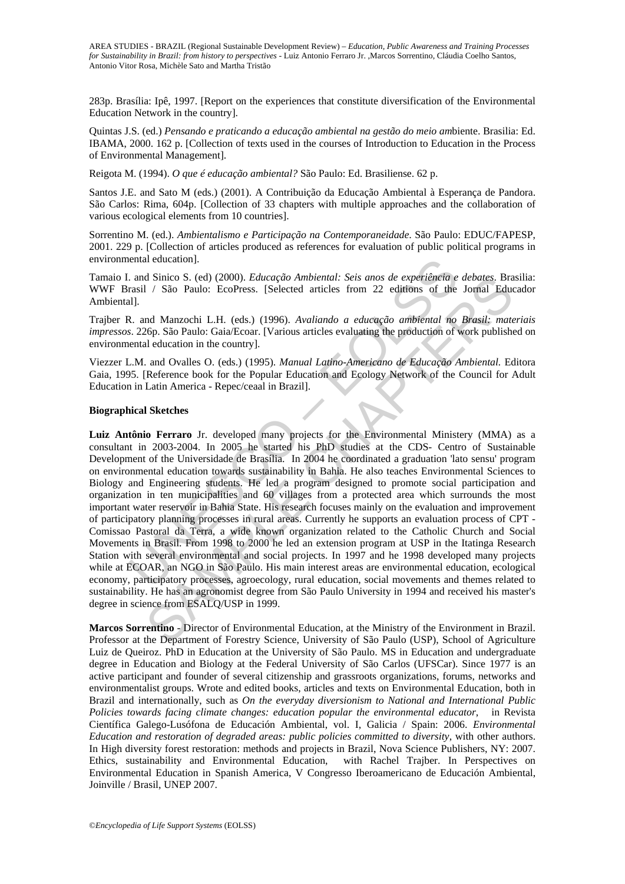283p. Brasília: Ipê, 1997. [Report on the experiences that constitute diversification of the Environmental Education Network in the country].

Quintas J.S. (ed.) *Pensando e praticando a educação ambiental na gestão do meio am*biente. Brasilia: Ed. IBAMA, 2000. 162 p. [Collection of texts used in the courses of Introduction to Education in the Process of Environmental Management].

Reigota M. (1994). *O que é educação ambiental?* São Paulo: Ed. Brasiliense. 62 p.

Santos J.E. and Sato M (eds.) (2001). A Contribuição da Educação Ambiental à Esperança de Pandora. São Carlos: Rima, 604p. [Collection of 33 chapters with multiple approaches and the collaboration of various ecological elements from 10 countries].

Sorrentino M. (ed.). *Ambientalismo e Participação na Contemporaneidade*. São Paulo: EDUC/FAPESP, 2001. 229 p. [Collection of articles produced as references for evaluation of public political programs in environmental education].

Tamaio I. and Sinico S. (ed) (2000). *Educação Ambiental: Seis anos de experiência e debates*. Brasilia: WWF Brasil / São Paulo: EcoPress. [Selected articles from 22 editions of the Jornal Educador Ambiental].

Trajber R. and Manzochi L.H. (eds.) (1996). *Avaliando a educação ambiental no Brasil: materiais impressos*. 226p. São Paulo: Gaia/Ecoar. [Various articles evaluating the production of work published on environmental education in the country].

Viezzer L.M. and Ovalles O. (eds.) (1995). *Manual Latino-Americano de Educação Ambiental.* Editora Gaia, 1995. [Reference book for the Popular Education and Ecology Network of the Council for Adult Education in Latin America - Repec/ceaal in Brazil].

#### **Biographical Sketches**

ental education].<br>
and Sinico S. (ed) (2000). *Educação Ambiental: Seis anos de experiência e*<br>
and Sinico S. (ed) (2000). *Educação Ambiental: Seis anos de experiência e*<br>
11].<br>
a. and Manzochi L.H. (eds.) (1996). *Avalia* d Sinico S. (ed) (2000). *Educação Ambiental: Seis anos de experiência debates*, Branche and *Y* São Paulo: EcoPress. [Selected articles from 22 editions of the Jornal Education and Manzochi L.H. (eds.) (1996). *Avaliando* **Luiz Antônio Ferraro** Jr. developed many projects for the Environmental Ministery (MMA) as a consultant in 2003-2004. In 2005 he started his PhD studies at the CDS- Centro of Sustainable Development of the Universidade de Brasília. In 2004 he coordinated a graduation 'lato sensu' program on environmental education towards sustainability in Bahia. He also teaches Environmental Sciences to Biology and Engineering students. He led a program designed to promote social participation and organization in ten municipalities and 60 villages from a protected area which surrounds the most important water reservoir in Bahia State. His research focuses mainly on the evaluation and improvement of participatory planning processes in rural areas. Currently he supports an evaluation process of CPT - Comissao Pastoral da Terra, a wide known organization related to the Catholic Church and Social Movements in Brasil. From 1998 to 2000 he led an extension program at USP in the Itatinga Research Station with several environmental and social projects. In 1997 and he 1998 developed many projects while at ECOAR, an NGO in São Paulo. His main interest areas are environmental education, ecological economy, participatory processes, agroecology, rural education, social movements and themes related to sustainability. He has an agronomist degree from São Paulo University in 1994 and received his master's degree in science from ESALQ/USP in 1999.

**Marcos Sorrentino** - Director of Environmental Education, at the Ministry of the Environment in Brazil. Professor at the Department of Forestry Science, University of São Paulo (USP), School of Agriculture Luiz de Queiroz. PhD in Education at the University of São Paulo. MS in Education and undergraduate degree in Education and Biology at the Federal University of São Carlos (UFSCar). Since 1977 is an active participant and founder of several citizenship and grassroots organizations, forums, networks and environmentalist groups. Wrote and edited books, articles and texts on Environmental Education, both in Brazil and internationally, such as *On the everyday diversionism to National and International Public Policies towards facing climate changes: education popular the environmental educator*, in Revista Científica Galego-Lusófona de Educación Ambiental, vol. I, Galicia / Spain: 2006. *Environmental Education and restoration of degraded areas: public policies committed to diversity*, with other authors. In High diversity forest restoration: methods and projects in Brazil, Nova Science Publishers, NY: 2007.<br>Ethics, sustainability and Environmental Education, with Rachel Trajber. In Perspectives on Ethics, sustainability and Environmental Education, Environmental Education in Spanish America, V Congresso Iberoamericano de Educación Ambiental, Joinville / Brasil, UNEP 2007.